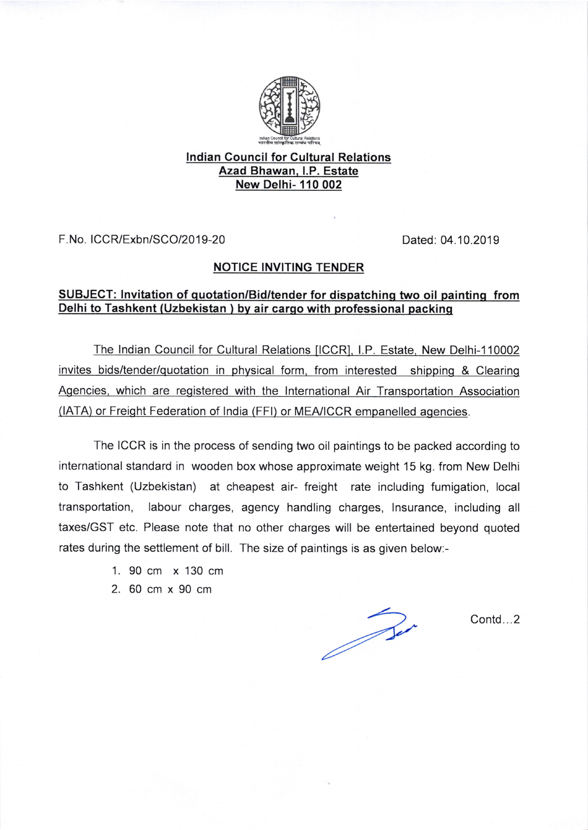

## lndian Gouncil for Cultural Relations Azad Bhawan. LP. Estate New Delhi- 110 002

F. No. ICCR/Exbn/SCO/20 19-20 Dated: 04.10.2019

## NOTICE INVITING TENDER

## SUBJECT: lnvitation of quotation/Bid/tender for dispatchinq two oil paintinq from Delhi to Tashkent (Uzbekistan ) bv air carqo with professional packinq

The Indian Council for Cultural Relations [ICCR], I.P. Estate, New Delhi-110002 invites bids/tender/quotation in physical form, from interested shipping & Clearing Agencies, which are registered with the International Air Transportation Association (IATA) or Freight Federation of lndia (FFl) or MEA/ICCR empanelled agencies.

The ICCR is in the process of sending two oil paintings to be packed according to international standard in wooden box whose approximate weight 15 kg. from New Delhi to Tashkent (Uzbekistan) at cheapest air- freight rate including fumigation, local transportation, labour charges, agency handling charges, lnsurance, including all taxes/GST etc. Please note that no other charges will be entertained beyond quoted rates during the settlement of bill. The size of paintings is as given below:-

- 1. 90 cm x 130 cm
- 2.60cmx90cm

Bir

Contd...2